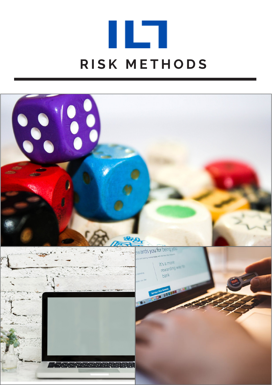## **RISK METHODS**

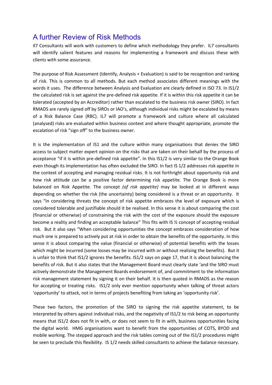## A further Review of Risk Methods

Il7 Consultants will work with customers to define which methodology they prefer. IL7 consultants will identify salient features and reasons for implementing a framework and discuss these with clients with some assurance.

The purpose of Risk Assessment (Identify, Analysis + Evaluation) is said to be recognition and ranking of risk. This is common to all methods. But each method associates different meanings with the words it uses. The difference between Analysis and Evaluation are clearly defined in ISO 73. In IS1/2 the calculated risk is set against the pre-defined risk appetite. If it is within this risk appetite it can be tolerated (accepted by an Accreditor) rather than escalated to the business risk owner (SIRO). In fact RMADS are rarely signed off by SIROs or IAO's, although individual risks might be escalated by means of a Risk Balance Case (RBC). IL7 will promote a framework and culture where all calculated (analysed) risks are evaluated within business context and where thought appropriate, promote the escalation of risk "sign off" to the business owner.

It is the implementation of IS1 and the culture within many organisations that denies the SIRO access to subject matter expert opinion on the risks that are taken on their behalf by the process of acceptance "if it is within pre-defined risk appetite". In this IS1/2 is very similar to the Orange Book even though its implementation has often excluded the SIRO. In fact IS 1/2 addresses risk appetite in the context of accepting and managing residual risks. It is not forthright about opportunity risk and how risk attitude can be a positive factor determining risk appetite. The Orange Book is more balanced on Risk Appetite. The concept *(of risk appetite)* may be looked at in different ways depending on whether the risk (the uncertainty) being considered is a threat or an opportunity. It says "In considering threats the concept of risk appetite embraces the level of exposure which is considered tolerable and justifiable should it be realised. In this sense it is about comparing the cost (financial or otherwise) of constraining the risk with the cost of the exposure should the exposure become a reality and finding an acceptable balance" This fits with IS ½ concept of accepting residual risk. But it also says "When considering opportunities the concept embraces consideration of how much one is prepared to actively put at risk in order to obtain the benefits of the opportunity. In this sense it is about comparing the value (financial or otherwise) of potential benefits with the losses which might be incurred (some losses may be incurred with or without realising the benefits). But it is unfair to think that IS1/2 ignores the benefits. IS1/2 says on page 17, that it is about balancing the benefits of risk. But it also states that the Management Board must clearly state 'and the SIRO must actively demonstrate the Management Boards endorsement of, and commitment to the information risk management statement by signing it on their behalf. It is then quoted in RMADS as the reason for accepting or treating risks. IS1/2 only ever mention opportunity when talking of threat actors 'opportunity' to attack, not in terms of projects benefiting from taking an 'opportunity risk'.

These two factors, the promotion of the SIRO to signing the risk appetite statement, to be interpreted by others against individual risks, and the negativity of IS1/2 to risk being an opportunity means that IS1/2 does not fit in with, or does not seem to fit in with, business opportunities facing the digital world. HMG organisations want to benefit from the opportunities of COTS, BYOD and mobile working. The stepped approach and the risk tables coming out of the IS1/2 procedures might be seen to preclude this flexibility. IS 1/2 needs skilled consultants to achieve the balance necessary.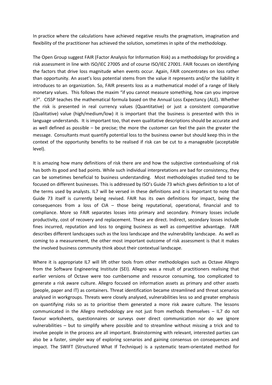In practice where the calculations have achieved negative results the pragmatism, imagination and flexibility of the practitioner has achieved the solution, sometimes in spite of the methodology.

The Open Group suggest FAIR (Factor Analysis for Information Risk) as a methodology for providing a risk assessment in line with ISO/IEC 27005 and of course ISO/IEC 27001. FAIR focuses on identifying the factors that drive loss magnitude when events occur. Again, FAIR concentrates on loss rather than opportunity. An asset's loss potential stems from the value it represents and/or the liability it introduces to an organization. So, FAIR presents loss as a mathematical model of a range of likely monetary values. This follows the maxim "if you cannot measure something, how can you improve it?". CISSP teaches the mathematical formula based on the Annual Loss Expectancy (ALE). Whether the risk is presented in real currency values (Quantitative) or just a consistent comparative (Qualitative) value (high/medium/low) it is important that the business is presented with this in language understands. It is important too, that even qualitative descriptions should be accurate and as well defined as possible – be precise; the more the customer can feel the pain the greater the message. Consultants must quantify potential loss to the business owner but should keep this in the context of the opportunity benefits to be realised if risk can be cut to a manageable (acceptable level).

It is amazing how many definitions of risk there are and how the subjective contextualising of risk has both its good and bad points. While such individual interpretations are bad for consistency, they can be sometimes beneficial to business understanding. Most methodologies studied tend to be focused on different businesses. This is addressed by ISO's Guide 73 which gives definition to a lot of the terms used by analysts. IL7 will be versed in these definitions and it is important to note that Guide 73 itself is currently being revised. FAIR has its own definitions for impact, being the consequences from a loss of CIA – those being reputational, operational, financial and to compliance. More so FAIR separates losses into primary and secondary. Primary losses include productivity, cost of recovery and replacement. These are direct. Indirect, secondary losses include fines incurred, reputation and loss to ongoing business as well as competitive advantage. FAIR describes different landscapes such as the loss landscape and the vulnerability landscape. As well as coming to a measurement, the other most important outcome of risk assessment is that it makes the involved business community think about their contextual landscape.

Where it is appropriate IL7 will lift other tools from other methodologies such as Octave Allegro from the Software Engineering Institute (SEI). Allegro was a result of practitioners realising that earlier versions of Octave were too cumbersome and resource consuming, too complicated to generate a risk aware culture. Allegro focused on information assets as primary and other assets (people, paper and IT) as containers. Threat identification became streamlined and threat scenarios analysed in workgroups. Threats were closely analysed, vulnerabilities less so and greater emphasis on quantifying risks so as to prioritise them generated a more risk aware culture. The lessons communicated in the Allegro methodology are not just from methods themselves – IL7 do not favour worksheets, questionnaires or surveys over direct communication nor do we ignore vulnerabilities – but to simplify where possible and to streamline without missing a trick and to involve people in the process are all important. Brainstorming with relevant, interested parties can also be a faster, simpler way of exploring scenarios and gaining consensus on consequences and impact. The SWIFT (Structured What If Technique) is a systematic team-orientated method for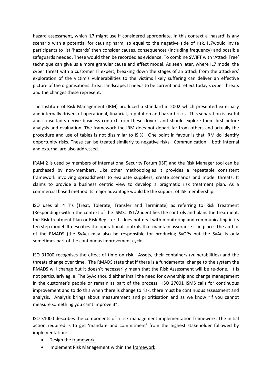hazard assessment, which IL7 might use if considered appropriate. In this context a 'hazard' is any scenario with a potential for causing harm, so equal to the negative side of risk. IL7would invite participants to list 'hazards' then consider causes, consequences (including frequency) and possible safeguards needed. These would then be recorded as evidence. To combine SWIFT with 'Attack Tree' technique can give us a more granular cause and effect model. As seen later, where IL7 model the cyber threat with a customer IT expert, breaking down the stages of an attack from the attackers' exploration of the victim's vulnerabilities to the victims likely suffering can deliver an effective picture of the organisations threat landscape. It needs to be current and reflect today's cyber threats and the changes these represent.

The Institute of Risk Management (IRM) produced a standard in 2002 which presented externally and internally drivers of operational, financial, reputation and hazard risks. This separation is useful and consultants derive business context from these drivers and should explore them first before analysis and evaluation. The framework the IRM does not depart far from others and actually the procedure and use of tables is not dissimilar to IS  $\frac{1}{2}$ . One point in favour is that IRM do identify opportunity risks. These can be treated similarly to negative risks. Communication – both internal and external are also addressed.

IRAM 2 is used by members of International Security Forum (ISF) and the Risk Manager tool can be purchased by non-members. Like other methodologies it provides a repeatable consistent framework involving spreadsheets to evaluate suppliers, create scenarios and model threats. It claims to provide a business centric view to develop a pragmatic risk treatment plan. As a commercial based method its major advantage would be the support of ISF membership.

ISO uses all 4 T's (Treat, Tolerate, Transfer and Terminate) as referring to Risk Treatment (Responding) within the context of the ISMS. IS1/2 identifies the controls and plans the treatment, the Risk treatment Plan or Risk Register. It does not deal with monitoring and communicating in its ten step model. It describes the operational controls that maintain assurance is in place. The author of the RMADS (the SyAc) may also be responsible for producing SyOPs but the SyAc is only sometimes part of the continuous improvement cycle.

ISO 31000 recognises the effect of time on risk. Assets, their containers (vulnerabilities) and the threats change over time. The RMADS state that if there is a fundamental change to the system the RMADS will change but it doesn't necessarily mean that the Risk Assessment will be re-done. It is not particularly agile. The SyAc should either instil the need for ownership and change management in the customer's people or remain as part of the process. ISO 27001 ISMS calls for continuous improvement and to do this when there is change to risk, there must be continuous assessment and analysis. Analysis brings about measurement and prioritisation and as we know "if you cannot measure something you can't improve it".

ISO 31000 describes the components of a risk management implementation framework. The initial action required is to get 'mandate and commitment' from the highest stakeholder followed by implementation:

- Design the framework.
- Implement Risk Management within the framework.